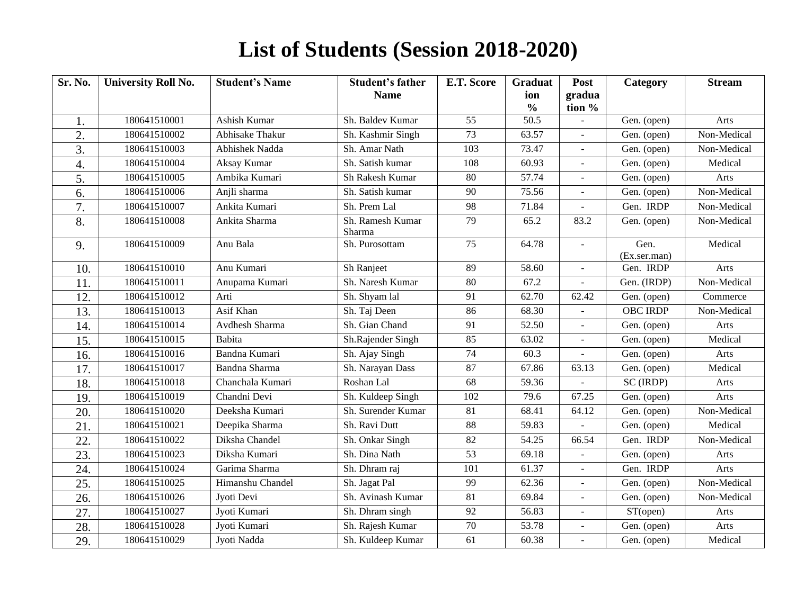## **List of Students (Session 2018-2020)**

| Sr. No.          | <b>University Roll No.</b> | <b>Student's Name</b> | <b>Student's father</b><br><b>Name</b> | E.T. Score      | <b>Graduat</b><br>ion<br>$\frac{6}{6}$ | Post<br>gradua<br>tion % | Category             | <b>Stream</b> |
|------------------|----------------------------|-----------------------|----------------------------------------|-----------------|----------------------------------------|--------------------------|----------------------|---------------|
| 1.               | 180641510001               | Ashish Kumar          | Sh. Baldev Kumar                       | 55              | 50.5                                   |                          | Gen. (open)          | Arts          |
| 2.               | 180641510002               | Abhisake Thakur       | Sh. Kashmir Singh                      | 73              | 63.57                                  | $\overline{a}$           | Gen. (open)          | Non-Medical   |
| 3.               | 180641510003               | Abhishek Nadda        | Sh. Amar Nath                          | 103             | 73.47                                  |                          | Gen. (open)          | Non-Medical   |
| 4.               | 180641510004               | Aksay Kumar           | Sh. Satish kumar                       | 108             | 60.93                                  |                          | Gen. (open)          | Medical       |
| 5.               | 180641510005               | Ambika Kumari         | Sh Rakesh Kumar                        | 80              | 57.74                                  | $\overline{a}$           | Gen. (open)          | Arts          |
| 6.               | 180641510006               | Anjli sharma          | Sh. Satish kumar                       | 90              | 75.56                                  | $\blacksquare$           | Gen. (open)          | Non-Medical   |
| $\overline{7}$ . | 180641510007               | Ankita Kumari         | Sh. Prem Lal                           | 98              | 71.84                                  |                          | Gen. IRDP            | Non-Medical   |
| 8.               | 180641510008               | Ankita Sharma         | Sh. Ramesh Kumar<br>Sharma             | 79              | 65.2                                   | 83.2                     | Gen. (open)          | Non-Medical   |
| 9.               | 180641510009               | Anu Bala              | Sh. Purosottam                         | $\overline{75}$ | 64.78                                  | $\overline{a}$           | Gen.<br>(Ex.ser.man) | Medical       |
| 10.              | 180641510010               | Anu Kumari            | Sh Ranjeet                             | 89              | 58.60                                  | $\blacksquare$           | Gen. IRDP            | Arts          |
| 11.              | 180641510011               | Anupama Kumari        | Sh. Naresh Kumar                       | 80              | 67.2                                   | $\overline{a}$           | Gen. (IRDP)          | Non-Medical   |
| 12               | 180641510012               | Arti                  | Sh. Shyam lal                          | 91              | 62.70                                  | 62.42                    | Gen. (open)          | Commerce      |
| 13.              | 180641510013               | Asif Khan             | Sh. Taj Deen                           | 86              | 68.30                                  |                          | <b>OBC IRDP</b>      | Non-Medical   |
| 14.              | 180641510014               | Avdhesh Sharma        | Sh. Gian Chand                         | 91              | 52.50                                  | ÷,                       | Gen. (open)          | Arts          |
| 15.              | 180641510015               | Babita                | Sh.Rajender Singh                      | 85              | 63.02                                  |                          | Gen. (open)          | Medical       |
| 16.              | 180641510016               | Bandna Kumari         | Sh. Ajay Singh                         | 74              | 60.3                                   |                          | Gen. (open)          | Arts          |
| 17.              | 180641510017               | Bandna Sharma         | Sh. Narayan Dass                       | 87              | 67.86                                  | 63.13                    | Gen. (open)          | Medical       |
| 18.              | 180641510018               | Chanchala Kumari      | Roshan Lal                             | 68              | 59.36                                  |                          | SC (IRDP)            | Arts          |
| 19.              | 180641510019               | Chandni Devi          | Sh. Kuldeep Singh                      | 102             | 79.6                                   | 67.25                    | Gen. (open)          | Arts          |
| 20.              | 180641510020               | Deeksha Kumari        | Sh. Surender Kumar                     | 81              | 68.41                                  | 64.12                    | Gen. (open)          | Non-Medical   |
| 21.              | 180641510021               | Deepika Sharma        | Sh. Ravi Dutt                          | 88              | 59.83                                  |                          | Gen. (open)          | Medical       |
| 22.              | 180641510022               | Diksha Chandel        | Sh. Onkar Singh                        | 82              | 54.25                                  | 66.54                    | Gen. IRDP            | Non-Medical   |
| 23.              | 180641510023               | Diksha Kumari         | Sh. Dina Nath                          | 53              | 69.18                                  |                          | Gen. (open)          | Arts          |
| 24.              | 180641510024               | Garima Sharma         | Sh. Dhram raj                          | 101             | 61.37                                  | $\overline{a}$           | Gen. IRDP            | Arts          |
| 25.              | 180641510025               | Himanshu Chandel      | Sh. Jagat Pal                          | 99              | 62.36                                  | L,                       | Gen. (open)          | Non-Medical   |
| 26.              | 180641510026               | Jyoti Devi            | Sh. Avinash Kumar                      | 81              | 69.84                                  | $\omega$                 | Gen. (open)          | Non-Medical   |
| 27.              | 180641510027               | Jyoti Kumari          | Sh. Dhram singh                        | 92              | 56.83                                  |                          | ST(open)             | Arts          |
| 28.              | 180641510028               | Jyoti Kumari          | Sh. Rajesh Kumar                       | 70              | 53.78                                  | $\overline{a}$           | Gen. (open)          | Arts          |
| 29.              | 180641510029               | Jyoti Nadda           | Sh. Kuldeep Kumar                      | 61              | 60.38                                  | $\overline{a}$           | Gen. (open)          | Medical       |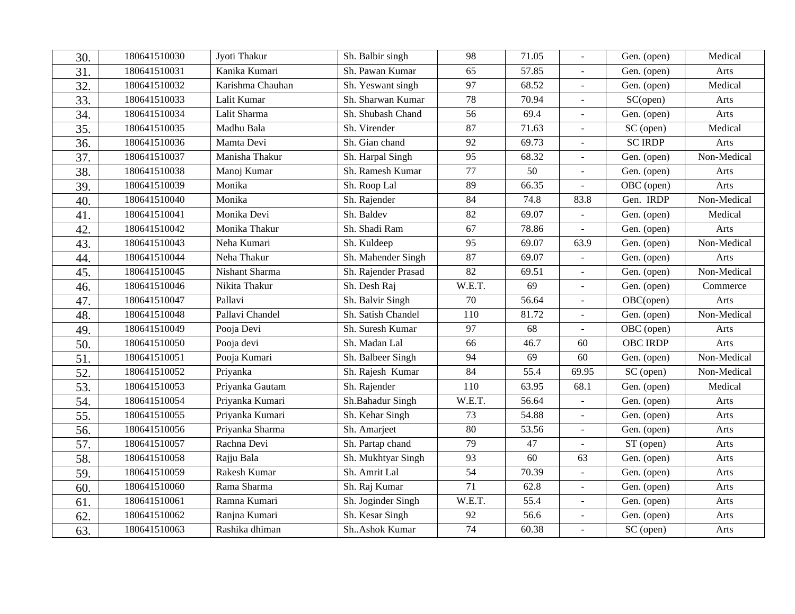| 30. | 180641510030 | Jyoti Thakur     | Sh. Balbir singh    | 98              | 71.05  |                          | Gen. (open)             | Medical     |
|-----|--------------|------------------|---------------------|-----------------|--------|--------------------------|-------------------------|-------------|
| 31. | 180641510031 | Kanika Kumari    | Sh. Pawan Kumar     | 65              | 57.85  |                          | Gen. (open)             | Arts        |
| 32. | 180641510032 | Karishma Chauhan | Sh. Yeswant singh   | 97              | 68.52  | $\overline{a}$           | Gen. (open)             | Medical     |
| 33. | 180641510033 | Lalit Kumar      | Sh. Sharwan Kumar   | 78              | 70.94  | L.                       | SC(open)                | Arts        |
| 34. | 180641510034 | Lalit Sharma     | Sh. Shubash Chand   | $\overline{56}$ | 69.4   |                          | Gen. (open)             | Arts        |
| 35. | 180641510035 | Madhu Bala       | Sh. Virender        | 87              | 71.63  |                          | SC (open)               | Medical     |
| 36. | 180641510036 | Mamta Devi       | Sh. Gian chand      | 92              | 69.73  | $\overline{\phantom{a}}$ | <b>SC IRDP</b>          | Arts        |
| 37. | 180641510037 | Manisha Thakur   | Sh. Harpal Singh    | 95              | 68.32  |                          | Gen. (open)             | Non-Medical |
| 38. | 180641510038 | Manoj Kumar      | Sh. Ramesh Kumar    | 77              | 50     | L.                       | Gen. (open)             | Arts        |
| 39. | 180641510039 | Monika           | Sh. Roop Lal        | 89              | 66.35  |                          | $\overline{OBC}$ (open) | Arts        |
| 40. | 180641510040 | Monika           | Sh. Rajender        | 84              | 74.8   | 83.8                     | Gen. IRDP               | Non-Medical |
| 41. | 180641510041 | Monika Devi      | Sh. Baldev          | 82              | 69.07  | $\blacksquare$           | Gen. (open)             | Medical     |
| 42. | 180641510042 | Monika Thakur    | Sh. Shadi Ram       | 67              | 78.86  |                          | Gen. (open)             | Arts        |
| 43. | 180641510043 | Neha Kumari      | Sh. Kuldeep         | 95              | 69.07  | 63.9                     | Gen. (open)             | Non-Medical |
| 44. | 180641510044 | Neha Thakur      | Sh. Mahender Singh  | 87              | 69.07  |                          | Gen. (open)             | Arts        |
| 45. | 180641510045 | Nishant Sharma   | Sh. Rajender Prasad | 82              | 69.51  |                          | Gen. (open)             | Non-Medical |
| 46. | 180641510046 | Nikita Thakur    | Sh. Desh Raj        | W.E.T.          | 69     | $\overline{\phantom{a}}$ | Gen. (open)             | Commerce    |
| 47. | 180641510047 | Pallavi          | Sh. Balvir Singh    | 70              | 56.64  |                          | $\overline{OBC}$ (open) | Arts        |
| 48. | 180641510048 | Pallavi Chandel  | Sh. Satish Chandel  | 110             | 81.72  | $\overline{\phantom{a}}$ | Gen. (open)             | Non-Medical |
| 49. | 180641510049 | Pooja Devi       | Sh. Suresh Kumar    | 97              | 68     |                          | OBC (open)              | Arts        |
| 50. | 180641510050 | Pooja devi       | Sh. Madan Lal       | 66              | 46.7   | 60                       | <b>OBC IRDP</b>         | Arts        |
| 51  | 180641510051 | Pooja Kumari     | Sh. Balbeer Singh   | 94              | 69     | 60                       | Gen. (open)             | Non-Medical |
| 52. | 180641510052 | Priyanka         | Sh. Rajesh Kumar    | 84              | 55.4   | 69.95                    | SC (open)               | Non-Medical |
| 53. | 180641510053 | Priyanka Gautam  | Sh. Rajender        | 110             | 63.95  | 68.1                     | Gen. (open)             | Medical     |
| 54. | 180641510054 | Priyanka Kumari  | Sh.Bahadur Singh    | W.E.T.          | 56.64  |                          | Gen. (open)             | Arts        |
| 55. | 180641510055 | Priyanka Kumari  | Sh. Kehar Singh     | 73              | 54.88  |                          | Gen. (open)             | Arts        |
| 56. | 180641510056 | Priyanka Sharma  | Sh. Amarjeet        | 80              | 53.56  |                          | Gen. (open)             | Arts        |
| 57. | 180641510057 | Rachna Devi      | Sh. Partap chand    | 79              | $47\,$ |                          | ST (open)               | Arts        |
| 58. | 180641510058 | Rajju Bala       | Sh. Mukhtyar Singh  | 93              | 60     | 63                       | Gen. (open)             | Arts        |
| 59. | 180641510059 | Rakesh Kumar     | Sh. Amrit Lal       | $\overline{54}$ | 70.39  | ÷,                       | Gen. (open)             | Arts        |
| 60. | 180641510060 | Rama Sharma      | Sh. Raj Kumar       | 71              | 62.8   |                          | Gen. (open)             | Arts        |
| 61  | 180641510061 | Ramna Kumari     | Sh. Joginder Singh  | W.E.T.          | 55.4   | $\overline{a}$           | Gen. (open)             | Arts        |
| 62. | 180641510062 | Ranjna Kumari    | Sh. Kesar Singh     | 92              | 56.6   | $\blacksquare$           | Gen. (open)             | Arts        |
| 63. | 180641510063 | Rashika dhiman   | ShAshok Kumar       | 74              | 60.38  |                          | SC (open)               | Arts        |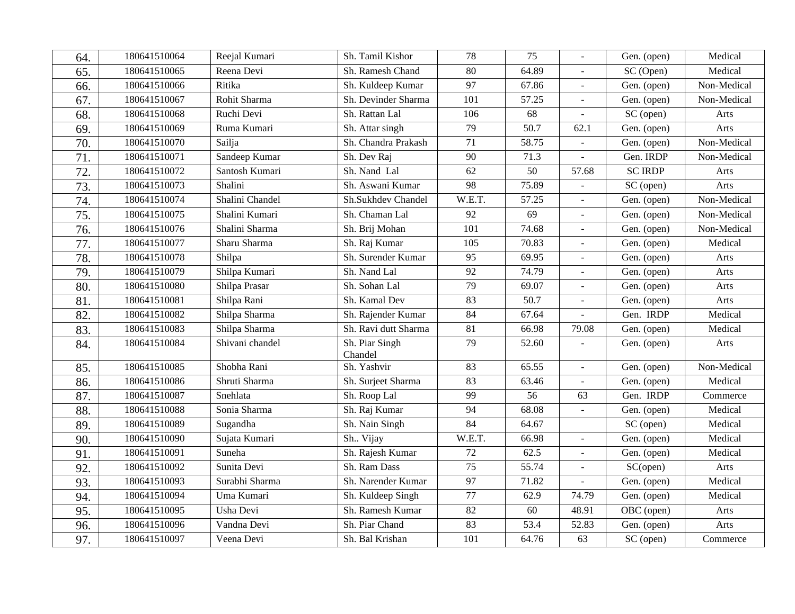| 64. | 180641510064 | Reejal Kumari   | Sh. Tamil Kishor          | 78              | 75    |                              | Gen. (open)            | Medical     |
|-----|--------------|-----------------|---------------------------|-----------------|-------|------------------------------|------------------------|-------------|
| 65. | 180641510065 | Reena Devi      | Sh. Ramesh Chand          | 80              | 64.89 |                              | SC (Open)              | Medical     |
| 66. | 180641510066 | Ritika          | Sh. Kuldeep Kumar         | 97              | 67.86 |                              | Gen. (open)            | Non-Medical |
| 67. | 180641510067 | Rohit Sharma    | Sh. Devinder Sharma       | 101             | 57.25 | $\overline{a}$               | Gen. (open)            | Non-Medical |
| 68. | 180641510068 | Ruchi Devi      | Sh. Rattan Lal            | 106             | 68    |                              | SC (open)              | Arts        |
| 69. | 180641510069 | Ruma Kumari     | Sh. Attar singh           | 79              | 50.7  | 62.1                         | Gen. (open)            | Arts        |
| 70. | 180641510070 | Sailja          | Sh. Chandra Prakash       | 71              | 58.75 |                              | Gen. (open)            | Non-Medical |
| 71  | 180641510071 | Sandeep Kumar   | Sh. Dev Raj               | 90              | 71.3  |                              | Gen. IRDP              | Non-Medical |
| 72. | 180641510072 | Santosh Kumari  | Sh. Nand Lal              | 62              | 50    | 57.68                        | <b>SC IRDP</b>         | Arts        |
| 73. | 180641510073 | Shalini         | Sh. Aswani Kumar          | 98              | 75.89 |                              | SC (open)              | Arts        |
| 74. | 180641510074 | Shalini Chandel | Sh.Sukhdev Chandel        | W.E.T.          | 57.25 | $\Box$                       | Gen. (open)            | Non-Medical |
| 75. | 180641510075 | Shalini Kumari  | Sh. Chaman Lal            | 92              | 69    |                              | Gen. (open)            | Non-Medical |
| 76. | 180641510076 | Shalini Sharma  | Sh. Brij Mohan            | 101             | 74.68 |                              | Gen. (open)            | Non-Medical |
| 77. | 180641510077 | Sharu Sharma    | Sh. Raj Kumar             | 105             | 70.83 |                              | Gen. (open)            | Medical     |
| 78. | 180641510078 | Shilpa          | Sh. Surender Kumar        | 95              | 69.95 | $\qquad \qquad \blacksquare$ | Gen. (open)            | Arts        |
| 79. | 180641510079 | Shilpa Kumari   | Sh. Nand Lal              | $\overline{92}$ | 74.79 |                              | Gen. (open)            | Arts        |
| 80. | 180641510080 | Shilpa Prasar   | Sh. Sohan Lal             | 79              | 69.07 | L.                           | Gen. (open)            | Arts        |
| 81. | 180641510081 | Shilpa Rani     | Sh. Kamal Dev             | 83              | 50.7  | $\overline{a}$               | Gen. (open)            | Arts        |
| 82. | 180641510082 | Shilpa Sharma   | Sh. Rajender Kumar        | $\overline{84}$ | 67.64 |                              | Gen. IRDP              | Medical     |
| 83. | 180641510083 | Shilpa Sharma   | Sh. Ravi dutt Sharma      | 81              | 66.98 | 79.08                        | Gen. (open)            | Medical     |
| 84. | 180641510084 | Shivani chandel | Sh. Piar Singh<br>Chandel | 79              | 52.60 |                              | Gen. (open)            | Arts        |
| 85. | 180641510085 | Shobha Rani     | Sh. Yashvir               | 83              | 65.55 | ÷,                           | Gen. (open)            | Non-Medical |
| 86. | 180641510086 | Shruti Sharma   | Sh. Surjeet Sharma        | 83              | 63.46 |                              | Gen. (open)            | Medical     |
| 87. | 180641510087 | Snehlata        | Sh. Roop Lal              | 99              | 56    | 63                           | Gen. IRDP              | Commerce    |
| 88. | 180641510088 | Sonia Sharma    | Sh. Raj Kumar             | 94              | 68.08 |                              | Gen. (open)            | Medical     |
| 89. | 180641510089 | Sugandha        | Sh. Nain Singh            | 84              | 64.67 |                              | SC (open)              | Medical     |
| 90. | 180641510090 | Sujata Kumari   | Sh Vijay                  | W.E.T.          | 66.98 | $\overline{a}$               | Gen. (open)            | Medical     |
| 91. | 180641510091 | Suneha          | Sh. Rajesh Kumar          | 72              | 62.5  | $\Box$                       | Gen. (open)            | Medical     |
| 92. | 180641510092 | Sunita Devi     | Sh. Ram Dass              | 75              | 55.74 |                              | SC(open)               | Arts        |
| 93. | 180641510093 | Surabhi Sharma  | Sh. Narender Kumar        | $\overline{97}$ | 71.82 |                              | Gen. (open)            | Medical     |
| 94. | 180641510094 | Uma Kumari      | Sh. Kuldeep Singh         | 77              | 62.9  | 74.79                        | Gen. (open)            | Medical     |
| 95. | 180641510095 | Usha Devi       | Sh. Ramesh Kumar          | 82              | 60    | 48.91                        | OBC (open)             | Arts        |
| 96. | 180641510096 | Vandna Devi     | Sh. Piar Chand            | 83              | 53.4  | 52.83                        | Gen. (open)            | Arts        |
| 97. | 180641510097 | Veena Devi      | Sh. Bal Krishan           | 101             | 64.76 | 63                           | $\overline{SC}$ (open) | Commerce    |